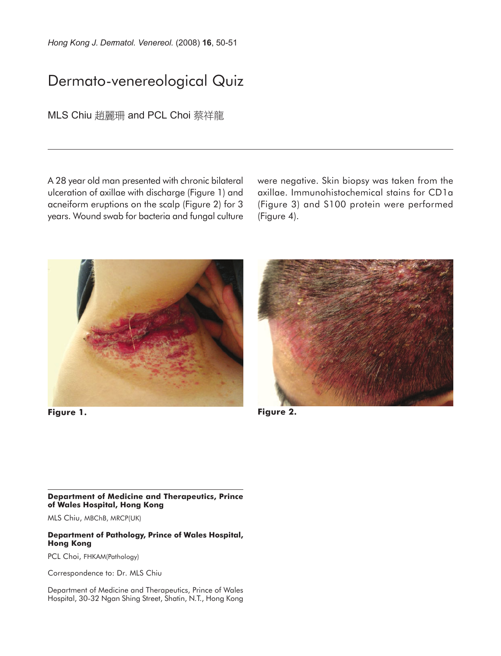*Hong Kong J. Dermatol. Venereol.* (2008) **16**, 50-51

# Dermato-venereological Quiz

MLS Chiu 趙麗珊 and PCL Choi 蔡祥龍

A 28 year old man presented with chronic bilateral ulceration of axillae with discharge (Figure 1) and acneiform eruptions on the scalp (Figure 2) for 3 years. Wound swab for bacteria and fungal culture were negative. Skin biopsy was taken from the axillae. Immunohistochemical stains for CD1a (Figure 3) and S100 protein were performed (Figure 4).



**Figure 1.**



**Figure 2.**

### **Department of Medicine and Therapeutics, Prince of Wales Hospital, Hong Kong**

MLS Chiu, MBChB, MRCP(UK)

#### **Department of Pathology, Prince of Wales Hospital, Hong Kong**

PCL Choi, FHKAM(Pathology)

Correspondence to: Dr. MLS Chiu

Department of Medicine and Therapeutics, Prince of Wales Hospital, 30-32 Ngan Shing Street, Shatin, N.T., Hong Kong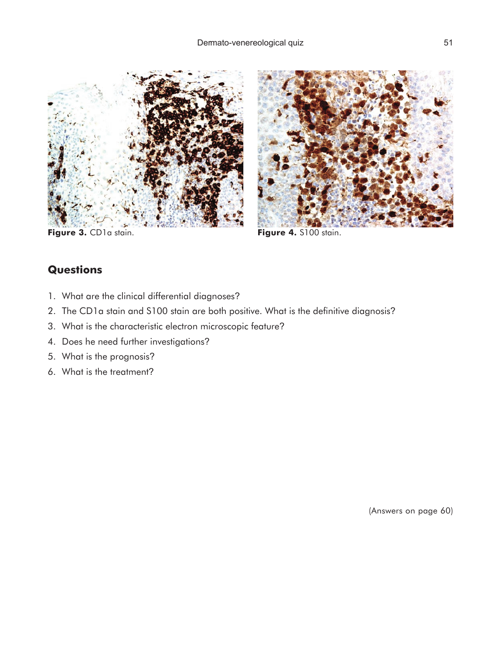



Figure 3. CD1a stain. **Figure 4.** S100 stain.

## **Questions**

- 1. What are the clinical differential diagnoses?
- 2. The CD1a stain and S100 stain are both positive. What is the definitive diagnosis?
- 3. What is the characteristic electron microscopic feature?
- 4. Does he need further investigations?
- 5. What is the prognosis?
- 6. What is the treatment?

(Answers on page 60)